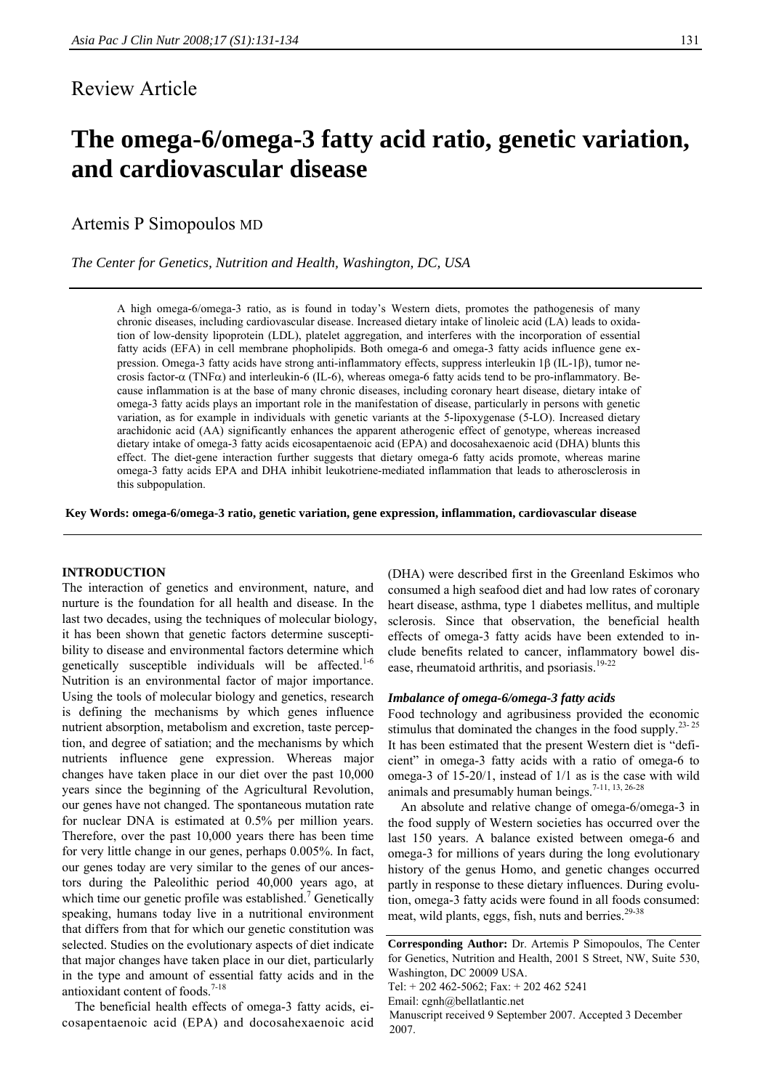# Review Article

# **The omega-6/omega-3 fatty acid ratio, genetic variation, and cardiovascular disease**

Artemis P Simopoulos MD

*The Center for Genetics, Nutrition and Health, Washington, DC, USA* 

A high omega-6/omega-3 ratio, as is found in today's Western diets, promotes the pathogenesis of many chronic diseases, including cardiovascular disease. Increased dietary intake of linoleic acid (LA) leads to oxidation of low-density lipoprotein (LDL), platelet aggregation, and interferes with the incorporation of essential fatty acids (EFA) in cell membrane phopholipids. Both omega-6 and omega-3 fatty acids influence gene expression. Omega-3 fatty acids have strong anti-inflammatory effects, suppress interleukin 1β (IL-1β), tumor necrosis factor-α (TNFα) and interleukin-6 (IL-6), whereas omega-6 fatty acids tend to be pro-inflammatory. Because inflammation is at the base of many chronic diseases, including coronary heart disease, dietary intake of omega-3 fatty acids plays an important role in the manifestation of disease, particularly in persons with genetic variation, as for example in individuals with genetic variants at the 5-lipoxygenase (5-LO). Increased dietary arachidonic acid (AA) significantly enhances the apparent atherogenic effect of genotype, whereas increased dietary intake of omega-3 fatty acids eicosapentaenoic acid (EPA) and docosahexaenoic acid (DHA) blunts this effect. The diet-gene interaction further suggests that dietary omega-6 fatty acids promote, whereas marine omega-3 fatty acids EPA and DHA inhibit leukotriene-mediated inflammation that leads to atherosclerosis in this subpopulation.

**Key Words: omega-6/omega-3 ratio, genetic variation, gene expression, inflammation, cardiovascular disease** 

#### **INTRODUCTION**

The interaction of genetics and environment, nature, and nurture is the foundation for all health and disease. In the last two decades, using the techniques of molecular biology, it has been shown that genetic factors determine susceptibility to disease and environmental factors determine which genetically susceptible individuals will be affected.<sup>1-6</sup> Nutrition is an environmental factor of major importance. Using the tools of molecular biology and genetics, research is defining the mechanisms by which genes influence nutrient absorption, metabolism and excretion, taste perception, and degree of satiation; and the mechanisms by which nutrients influence gene expression. Whereas major changes have taken place in our diet over the past 10,000 years since the beginning of the Agricultural Revolution, our genes have not changed. The spontaneous mutation rate for nuclear DNA is estimated at 0.5% per million years. Therefore, over the past 10,000 years there has been time for very little change in our genes, perhaps 0.005%. In fact, our genes today are very similar to the genes of our ancestors during the Paleolithic period 40,000 years ago, at which time our genetic profile was established.<sup>7</sup> Genetically speaking, humans today live in a nutritional environment that differs from that for which our genetic constitution was selected. Studies on the evolutionary aspects of diet indicate that major changes have taken place in our diet, particularly in the type and amount of essential fatty acids and in the antioxidant content of foods. $7-18$ 

The beneficial health effects of omega-3 fatty acids, eicosapentaenoic acid (EPA) and docosahexaenoic acid (DHA) were described first in the Greenland Eskimos who consumed a high seafood diet and had low rates of coronary heart disease, asthma, type 1 diabetes mellitus, and multiple sclerosis. Since that observation, the beneficial health effects of omega-3 fatty acids have been extended to include benefits related to cancer, inflammatory bowel disease, rheumatoid arthritis, and psoriasis.<sup>19-22</sup>

#### *Imbalance of omega-6/omega-3 fatty acids*

Food technology and agribusiness provided the economic stimulus that dominated the changes in the food supply. $23-25$ It has been estimated that the present Western diet is "deficient" in omega-3 fatty acids with a ratio of omega-6 to omega-3 of 15-20/1, instead of 1/1 as is the case with wild animals and presumably human beings.<sup>7-11, 13, 26-28</sup>

An absolute and relative change of omega-6/omega-3 in the food supply of Western societies has occurred over the last 150 years. A balance existed between omega-6 and omega-3 for millions of years during the long evolutionary history of the genus Homo, and genetic changes occurred partly in response to these dietary influences. During evolution, omega-3 fatty acids were found in all foods consumed: meat, wild plants, eggs, fish, nuts and berries.<sup>29-38</sup>

**Corresponding Author:** Dr. Artemis P Simopoulos, The Center for Genetics, Nutrition and Health, 2001 S Street, NW, Suite 530, Washington, DC 20009 USA.

Tel: + 202 462-5062; Fax: + 202 462 5241

Email: cgnh@bellatlantic.net

Manuscript received 9 September 2007. Accepted 3 December 2007.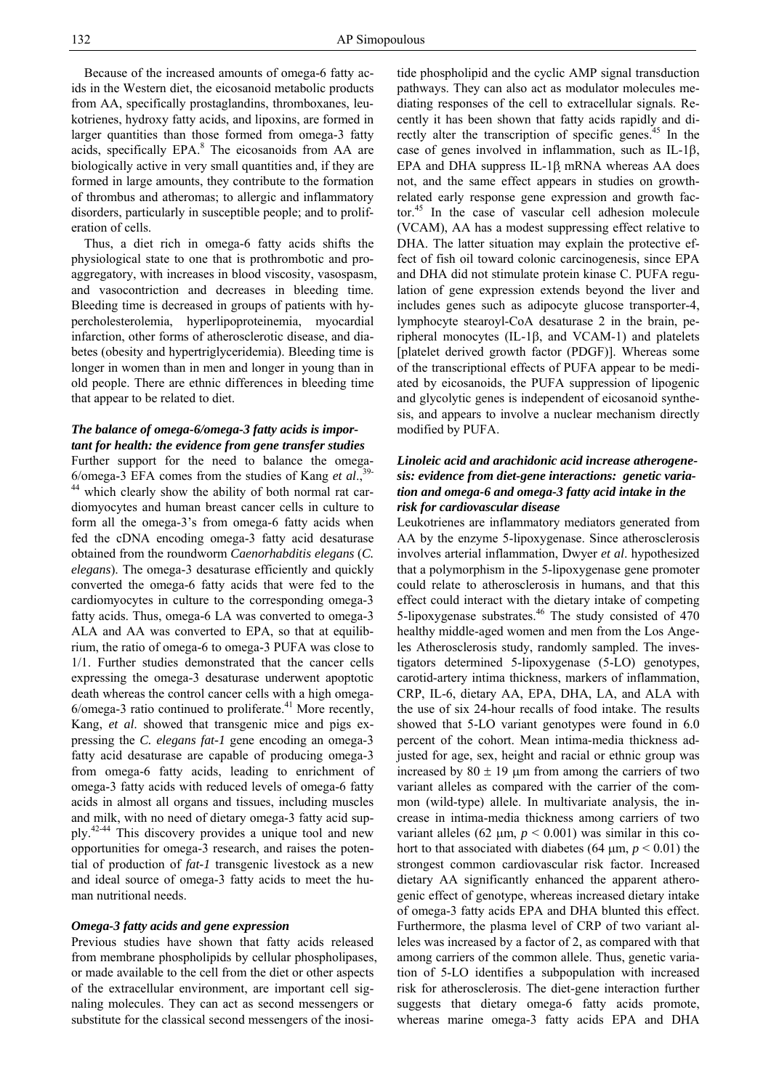Because of the increased amounts of omega-6 fatty acids in the Western diet, the eicosanoid metabolic products from AA, specifically prostaglandins, thromboxanes, leukotrienes, hydroxy fatty acids, and lipoxins, are formed in larger quantities than those formed from omega-3 fatty acids, specifically EPA.<sup>8</sup> The eicosanoids from AA are biologically active in very small quantities and, if they are formed in large amounts, they contribute to the formation of thrombus and atheromas; to allergic and inflammatory disorders, particularly in susceptible people; and to proliferation of cells.

Thus, a diet rich in omega-6 fatty acids shifts the physiological state to one that is prothrombotic and proaggregatory, with increases in blood viscosity, vasospasm, and vasocontriction and decreases in bleeding time. Bleeding time is decreased in groups of patients with hypercholesterolemia, hyperlipoproteinemia, myocardial infarction, other forms of atherosclerotic disease, and diabetes (obesity and hypertriglyceridemia). Bleeding time is longer in women than in men and longer in young than in old people. There are ethnic differences in bleeding time that appear to be related to diet.

## *The balance of omega-6/omega-3 fatty acids is important for health: the evidence from gene transfer studies*

Further support for the need to balance the omega-6/omega-3 EFA comes from the studies of Kang *et al*.,39- <sup>44</sup> which clearly show the ability of both normal rat cardiomyocytes and human breast cancer cells in culture to form all the omega-3's from omega-6 fatty acids when fed the cDNA encoding omega-3 fatty acid desaturase obtained from the roundworm *Caenorhabditis elegans* (*C. elegans*). The omega-3 desaturase efficiently and quickly converted the omega-6 fatty acids that were fed to the cardiomyocytes in culture to the corresponding omega-3 fatty acids. Thus, omega-6 LA was converted to omega-3 ALA and AA was converted to EPA, so that at equilibrium, the ratio of omega-6 to omega-3 PUFA was close to 1/1. Further studies demonstrated that the cancer cells expressing the omega-3 desaturase underwent apoptotic death whereas the control cancer cells with a high omega- $6$ /omega-3 ratio continued to proliferate. $41$  More recently, Kang, *et al*. showed that transgenic mice and pigs expressing the *C. elegans fat-1* gene encoding an omega-3 fatty acid desaturase are capable of producing omega-3 from omega-6 fatty acids, leading to enrichment of omega-3 fatty acids with reduced levels of omega-6 fatty acids in almost all organs and tissues, including muscles and milk, with no need of dietary omega-3 fatty acid supply.42-44 This discovery provides a unique tool and new opportunities for omega-3 research, and raises the potential of production of *fat-1* transgenic livestock as a new and ideal source of omega-3 fatty acids to meet the human nutritional needs.

## *Omega-3 fatty acids and gene expression*

Previous studies have shown that fatty acids released from membrane phospholipids by cellular phospholipases, or made available to the cell from the diet or other aspects of the extracellular environment, are important cell signaling molecules. They can act as second messengers or substitute for the classical second messengers of the inosi-

tide phospholipid and the cyclic AMP signal transduction pathways. They can also act as modulator molecules mediating responses of the cell to extracellular signals. Recently it has been shown that fatty acids rapidly and directly alter the transcription of specific genes.<sup>45</sup> In the case of genes involved in inflammation, such as IL-1β, EPA and DHA suppress IL-1β mRNA whereas AA does not, and the same effect appears in studies on growthrelated early response gene expression and growth factor.45 In the case of vascular cell adhesion molecule (VCAM), AA has a modest suppressing effect relative to DHA. The latter situation may explain the protective effect of fish oil toward colonic carcinogenesis, since EPA and DHA did not stimulate protein kinase C. PUFA regulation of gene expression extends beyond the liver and includes genes such as adipocyte glucose transporter-4, lymphocyte stearoyl-CoA desaturase 2 in the brain, peripheral monocytes (IL-1β, and VCAM-1) and platelets [platelet derived growth factor (PDGF)]. Whereas some of the transcriptional effects of PUFA appear to be mediated by eicosanoids, the PUFA suppression of lipogenic and glycolytic genes is independent of eicosanoid synthesis, and appears to involve a nuclear mechanism directly modified by PUFA.

# *Linoleic acid and arachidonic acid increase atherogenesis: evidence from diet-gene interactions: genetic variation and omega-6 and omega-3 fatty acid intake in the risk for cardiovascular disease*

Leukotrienes are inflammatory mediators generated from AA by the enzyme 5-lipoxygenase. Since atherosclerosis involves arterial inflammation, Dwyer *et al*. hypothesized that a polymorphism in the 5-lipoxygenase gene promoter could relate to atherosclerosis in humans, and that this effect could interact with the dietary intake of competing 5-lipoxygenase substrates. $46$  The study consisted of 470 healthy middle-aged women and men from the Los Angeles Atherosclerosis study, randomly sampled. The investigators determined 5-lipoxygenase (5-LO) genotypes, carotid-artery intima thickness, markers of inflammation, CRP, IL-6, dietary AA, EPA, DHA, LA, and ALA with the use of six 24-hour recalls of food intake. The results showed that 5-LO variant genotypes were found in 6.0 percent of the cohort. Mean intima-media thickness adjusted for age, sex, height and racial or ethnic group was increased by  $80 \pm 19$  µm from among the carriers of two variant alleles as compared with the carrier of the common (wild-type) allele. In multivariate analysis, the increase in intima-media thickness among carriers of two variant alleles (62  $\mu$ m,  $p < 0.001$ ) was similar in this cohort to that associated with diabetes (64  $\mu$ m, *p* < 0.01) the strongest common cardiovascular risk factor. Increased dietary AA significantly enhanced the apparent atherogenic effect of genotype, whereas increased dietary intake of omega-3 fatty acids EPA and DHA blunted this effect. Furthermore, the plasma level of CRP of two variant alleles was increased by a factor of 2, as compared with that among carriers of the common allele. Thus, genetic variation of 5-LO identifies a subpopulation with increased risk for atherosclerosis. The diet-gene interaction further suggests that dietary omega-6 fatty acids promote, whereas marine omega-3 fatty acids EPA and DHA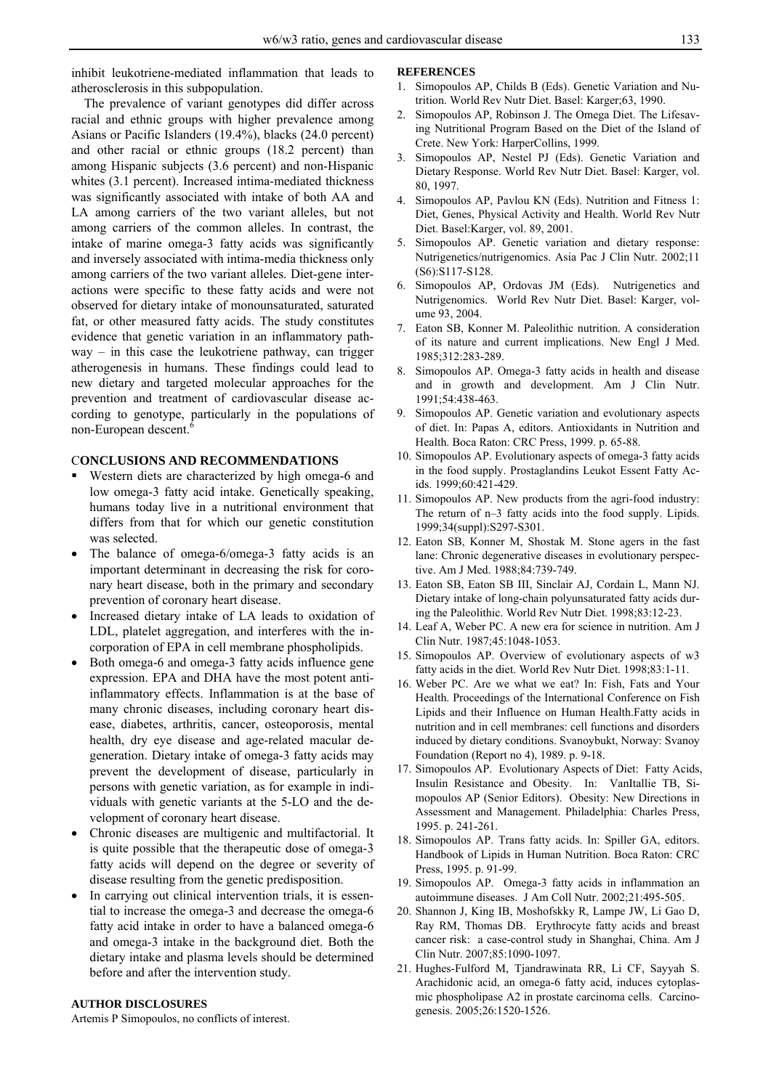inhibit leukotriene-mediated inflammation that leads to atherosclerosis in this subpopulation.

The prevalence of variant genotypes did differ across racial and ethnic groups with higher prevalence among Asians or Pacific Islanders (19.4%), blacks (24.0 percent) and other racial or ethnic groups (18.2 percent) than among Hispanic subjects (3.6 percent) and non-Hispanic whites (3.1 percent). Increased intima-mediated thickness was significantly associated with intake of both AA and LA among carriers of the two variant alleles, but not among carriers of the common alleles. In contrast, the intake of marine omega-3 fatty acids was significantly and inversely associated with intima-media thickness only among carriers of the two variant alleles. Diet-gene interactions were specific to these fatty acids and were not observed for dietary intake of monounsaturated, saturated fat, or other measured fatty acids. The study constitutes evidence that genetic variation in an inflammatory path $way - in this case the leukotriene pathway, can trigger$ atherogenesis in humans. These findings could lead to new dietary and targeted molecular approaches for the prevention and treatment of cardiovascular disease according to genotype, particularly in the populations of non-European descent.<sup>6</sup>

#### C**ONCLUSIONS AND RECOMMENDATIONS**

- Western diets are characterized by high omega-6 and low omega-3 fatty acid intake. Genetically speaking, humans today live in a nutritional environment that differs from that for which our genetic constitution was selected.
- The balance of omega-6/omega-3 fatty acids is an important determinant in decreasing the risk for coronary heart disease, both in the primary and secondary prevention of coronary heart disease.
- Increased dietary intake of LA leads to oxidation of LDL, platelet aggregation, and interferes with the incorporation of EPA in cell membrane phospholipids.
- Both omega-6 and omega-3 fatty acids influence gene expression. EPA and DHA have the most potent antiinflammatory effects. Inflammation is at the base of many chronic diseases, including coronary heart disease, diabetes, arthritis, cancer, osteoporosis, mental health, dry eye disease and age-related macular degeneration. Dietary intake of omega-3 fatty acids may prevent the development of disease, particularly in persons with genetic variation, as for example in individuals with genetic variants at the 5-LO and the development of coronary heart disease.
- Chronic diseases are multigenic and multifactorial. It is quite possible that the therapeutic dose of omega-3 fatty acids will depend on the degree or severity of disease resulting from the genetic predisposition.
- In carrying out clinical intervention trials, it is essential to increase the omega-3 and decrease the omega-6 fatty acid intake in order to have a balanced omega-6 and omega-3 intake in the background diet. Both the dietary intake and plasma levels should be determined before and after the intervention study.

#### **AUTHOR DISCLOSURES**

Artemis P Simopoulos, no conflicts of interest.

#### **REFERENCES**

- Simopoulos AP, Childs B (Eds). Genetic Variation and Nutrition. World Rev Nutr Diet. Basel: Karger;63, 1990.
- 2. Simopoulos AP, Robinson J. The Omega Diet. The Lifesaving Nutritional Program Based on the Diet of the Island of Crete. New York: HarperCollins, 1999.
- 3. Simopoulos AP, Nestel PJ (Eds). Genetic Variation and Dietary Response. World Rev Nutr Diet. Basel: Karger, vol. 80, 1997.
- 4. Simopoulos AP, Pavlou KN (Eds). Nutrition and Fitness 1: Diet, Genes, Physical Activity and Health. World Rev Nutr Diet. Basel:Karger, vol. 89, 2001.
- 5. Simopoulos AP. Genetic variation and dietary response: Nutrigenetics/nutrigenomics. Asia Pac J Clin Nutr. 2002;11 (S6):S117-S128.
- 6. Simopoulos AP, Ordovas JM (Eds). Nutrigenetics and Nutrigenomics. World Rev Nutr Diet. Basel: Karger, volume 93, 2004.
- 7. Eaton SB, Konner M. Paleolithic nutrition. A consideration of its nature and current implications. New Engl J Med. 1985;312:283-289.
- 8. Simopoulos AP. Omega-3 fatty acids in health and disease and in growth and development. Am J Clin Nutr. 1991;54:438-463.
- 9. Simopoulos AP. Genetic variation and evolutionary aspects of diet. In: Papas A, editors. Antioxidants in Nutrition and Health. Boca Raton: CRC Press, 1999. p. 65-88.
- 10. Simopoulos AP. Evolutionary aspects of omega-3 fatty acids in the food supply. Prostaglandins Leukot Essent Fatty Acids. 1999;60:421-429.
- 11. Simopoulos AP. New products from the agri-food industry: The return of n–3 fatty acids into the food supply. Lipids. 1999;34(suppl):S297-S301.
- 12. Eaton SB, Konner M, Shostak M. Stone agers in the fast lane: Chronic degenerative diseases in evolutionary perspective. Am J Med. 1988;84:739-749.
- 13. Eaton SB, Eaton SB III, Sinclair AJ, Cordain L, Mann NJ. Dietary intake of long-chain polyunsaturated fatty acids during the Paleolithic. World Rev Nutr Diet. 1998;83:12-23.
- 14. Leaf A, Weber PC. A new era for science in nutrition. Am J Clin Nutr. 1987;45:1048-1053.
- 15. Simopoulos AP. Overview of evolutionary aspects of w3 fatty acids in the diet. World Rev Nutr Diet. 1998;83:1-11.
- 16. Weber PC. Are we what we eat? In: Fish, Fats and Your Health. Proceedings of the International Conference on Fish Lipids and their Influence on Human Health.Fatty acids in nutrition and in cell membranes: cell functions and disorders induced by dietary conditions. Svanoybukt, Norway: Svanoy Foundation (Report no 4), 1989. p. 9-18.
- 17. Simopoulos AP. Evolutionary Aspects of Diet: Fatty Acids, Insulin Resistance and Obesity. In: VanItallie TB, Simopoulos AP (Senior Editors). Obesity: New Directions in Assessment and Management. Philadelphia: Charles Press, 1995. p. 241-261.
- 18. Simopoulos AP. Trans fatty acids. In: Spiller GA, editors. Handbook of Lipids in Human Nutrition. Boca Raton: CRC Press, 1995. p. 91-99.
- 19. Simopoulos AP. Omega-3 fatty acids in inflammation an autoimmune diseases. J Am Coll Nutr. 2002;21:495-505.
- 20. Shannon J, King IB, Moshofskky R, Lampe JW, Li Gao D, Ray RM, Thomas DB. Erythrocyte fatty acids and breast cancer risk: a case-control study in Shanghai, China. Am J Clin Nutr. 2007;85:1090-1097.
- 21. Hughes-Fulford M, Tjandrawinata RR, Li CF, Sayyah S. Arachidonic acid, an omega-6 fatty acid, induces cytoplasmic phospholipase A2 in prostate carcinoma cells. Carcinogenesis. 2005;26:1520-1526.